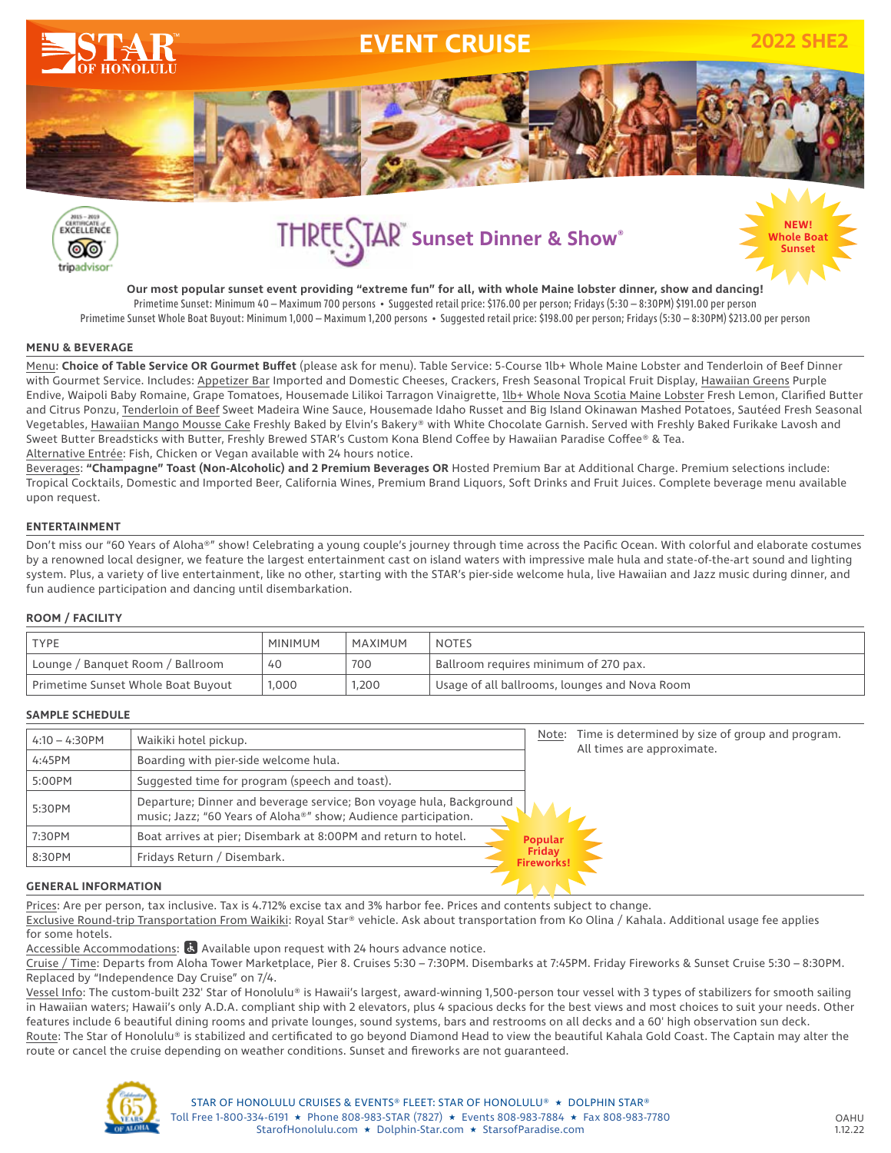



# **Sunset Sunset Dinner & Show®**

h<mark>ole Bo</mark><br>Sunset

**Our most popular sunset event providing "extreme fun" for all, with whole Maine lobster dinner, show and dancing!** Primetime Sunset: Minimum 40 – Maximum 700 persons • Suggested retail price: \$176.00 per person; Fridays (5:30 – 8:30PM) \$191.00 per person Primetime Sunset Whole Boat Buyout: Minimum 1,000 – Maximum 1,200 persons • Suggested retail price: \$198.00 per person; Fridays (5:30 – 8:30PM) \$213.00 per person

#### **MENU & BEVERAGE**

Menu: **Choice of Table Service OR Gourmet Buffet** (please ask for menu). Table Service: 5-Course 1lb+ Whole Maine Lobster and Tenderloin of Beef Dinner with Gourmet Service. Includes: Appetizer Bar Imported and Domestic Cheeses, Crackers, Fresh Seasonal Tropical Fruit Display, Hawaiian Greens Purple Endive, Waipoli Baby Romaine, Grape Tomatoes, Housemade Lilikoi Tarragon Vinaigrette, 1lb+ Whole Nova Scotia Maine Lobster Fresh Lemon, Clarified Butter and Citrus Ponzu, Tenderloin of Beef Sweet Madeira Wine Sauce, Housemade Idaho Russet and Big Island Okinawan Mashed Potatoes, Sautéed Fresh Seasonal Vegetables, Hawaiian Mango Mousse Cake Freshly Baked by Elvin's Bakery® with White Chocolate Garnish. Served with Freshly Baked Furikake Lavosh and Sweet Butter Breadsticks with Butter, Freshly Brewed STAR's Custom Kona Blend Coffee by Hawaiian Paradise Coffee® & Tea. Alternative Entrée: Fish, Chicken or Vegan available with 24 hours notice.

Beverages: **"Champagne" Toast (Non-Alcoholic) and 2 Premium Beverages OR** Hosted Premium Bar at Additional Charge. Premium selections include: Tropical Cocktails, Domestic and Imported Beer, California Wines, Premium Brand Liquors, Soft Drinks and Fruit Juices. Complete beverage menu available upon request.

#### **ENTERTAINMENT**

Don't miss our "60 Years of Aloha®" show! Celebrating a young couple's journey through time across the Pacific Ocean. With colorful and elaborate costumes by a renowned local designer, we feature the largest entertainment cast on island waters with impressive male hula and state-of-the-art sound and lighting system. Plus, a variety of live entertainment, like no other, starting with the STAR's pier-side welcome hula, live Hawaiian and Jazz music during dinner, and fun audience participation and dancing until disembarkation.

#### **ROOM / FACILITY**

| <b>TYPE</b>                        | <b>MINIMUM</b> | MAXIMUM | <b>NOTES</b>                                  |
|------------------------------------|----------------|---------|-----------------------------------------------|
| Lounge / Banquet Room / Ballroom   | 40             | 700     | Ballroom requires minimum of 270 pax.         |
| Primetime Sunset Whole Boat Buyout | ,000           | 1,200   | Usage of all ballrooms, lounges and Nova Room |

#### **SAMPLE SCHEDULE**

| Waikiki hotel pickup.                                                                                                                  | Note: | Time is determined by size of group and program.<br>All times are approximate. |
|----------------------------------------------------------------------------------------------------------------------------------------|-------|--------------------------------------------------------------------------------|
| Boarding with pier-side welcome hula.                                                                                                  |       |                                                                                |
| Suggested time for program (speech and toast).                                                                                         |       |                                                                                |
| Departure; Dinner and beverage service; Bon voyage hula, Background<br>music; Jazz; "60 Years of Aloha®" show; Audience participation. |       |                                                                                |
| Boat arrives at pier; Disembark at 8:00PM and return to hotel.                                                                         |       |                                                                                |
| Fridays Return / Disembark.                                                                                                            |       |                                                                                |
|                                                                                                                                        |       | <b>Popular</b><br><b>Friday</b><br><b>Fireworks!</b>                           |

#### **GENERAL INFORMATION**

Prices: Are per person, tax inclusive. Tax is 4.712% excise tax and 3% harbor fee. Prices and contents subject to change.

Exclusive Round-trip Transportation From Waikiki: Royal Star® vehicle. Ask about transportation from Ko Olina / Kahala. Additional usage fee applies for some hotels.

Accessible Accommodations: & Available upon request with 24 hours advance notice.

Cruise / Time: Departs from Aloha Tower Marketplace, Pier 8. Cruises 5:30 – 7:30PM. Disembarks at 7:45PM. Friday Fireworks & Sunset Cruise 5:30 – 8:30PM. Replaced by "Independence Day Cruise" on 7/4.

Vessel Info: The custom-built 232' Star of Honolulu® is Hawaii's largest, award-winning 1,500-person tour vessel with 3 types of stabilizers for smooth sailing in Hawaiian waters; Hawaii's only A.D.A. compliant ship with 2 elevators, plus 4 spacious decks for the best views and most choices to suit your needs. Other features include 6 beautiful dining rooms and private lounges, sound systems, bars and restrooms on all decks and a 60' high observation sun deck. Route: The Star of Honolulu® is stabilized and certificated to go beyond Diamond Head to view the beautiful Kahala Gold Coast. The Captain may alter the route or cancel the cruise depending on weather conditions. Sunset and fireworks are not guaranteed.